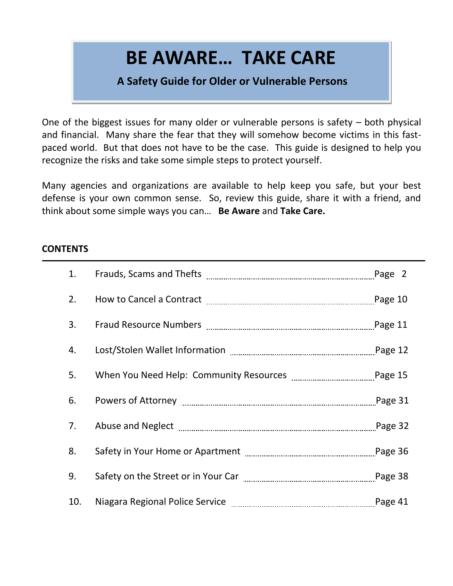# **BE AWARE… TAKE CARE**

# **A Safety Guide for Older or Vulnerable Persons**

One of the biggest issues for many older or vulnerable persons is safety – both physical and financial. Many share the fear that they will somehow become victims in this fastpaced world. But that does not have to be the case. This guide is designed to help you recognize the risks and take some simple steps to protect yourself.

Many agencies and organizations are available to help keep you safe, but your best defense is your own common sense. So, review this guide, share it with a friend, and think about some simple ways you can… **Be Aware** and **Take Care.**

# **CONTENTS**

| 1.  |  |
|-----|--|
| 2.  |  |
| 3.  |  |
| 4.  |  |
| 5.  |  |
| 6.  |  |
| 7.  |  |
| 8.  |  |
| 9.  |  |
| 10. |  |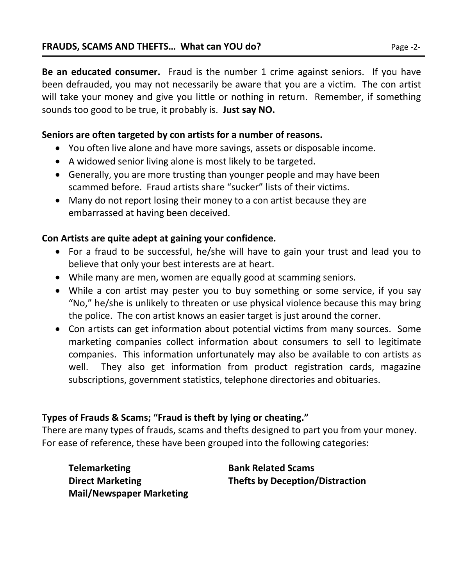# **Seniors are often targeted by con artists for a number of reasons.**

- You often live alone and have more savings, assets or disposable income.
- A widowed senior living alone is most likely to be targeted.
- Generally, you are more trusting than younger people and may have been scammed before. Fraud artists share "sucker" lists of their victims.
- Many do not report losing their money to a con artist because they are embarrassed at having been deceived.

# **Con Artists are quite adept at gaining your confidence.**

- For a fraud to be successful, he/she will have to gain your trust and lead you to believe that only your best interests are at heart.
- While many are men, women are equally good at scamming seniors.
- While a con artist may pester you to buy something or some service, if you say "No," he/she is unlikely to threaten or use physical violence because this may bring the police. The con artist knows an easier target is just around the corner.
- Con artists can get information about potential victims from many sources. Some marketing companies collect information about consumers to sell to legitimate companies. This information unfortunately may also be available to con artists as well. They also get information from product registration cards, magazine subscriptions, government statistics, telephone directories and obituaries.

# **Types of Frauds & Scams; "Fraud is theft by lying or cheating."**

There are many types of frauds, scams and thefts designed to part you from your money. For ease of reference, these have been grouped into the following categories:

| <b>Telemarketing</b>            |
|---------------------------------|
| <b>Direct Marketing</b>         |
| <b>Mail/Newspaper Marketing</b> |

**Bank Related Scams Direct Marketing Thefts by Deception/Distraction**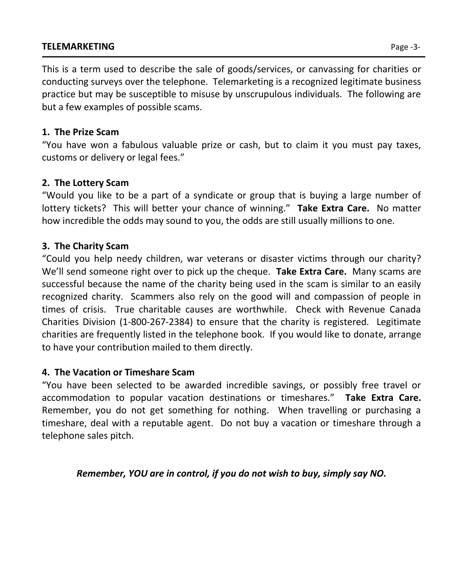# **TELEMARKETING** Page -3-

This is a term used to describe the sale of goods/services, or canvassing for charities or conducting surveys over the telephone. Telemarketing is a recognized legitimate business practice but may be susceptible to misuse by unscrupulous individuals. The following are but a few examples of possible scams.

# **1. The Prize Scam**

"You have won a fabulous valuable prize or cash, but to claim it you must pay taxes, customs or delivery or legal fees."

# **2. The Lottery Scam**

"Would you like to be a part of a syndicate or group that is buying a large number of lottery tickets? This will better your chance of winning." **Take Extra Care.** No matter how incredible the odds may sound to you, the odds are still usually millions to one.

# **3. The Charity Scam**

"Could you help needy children, war veterans or disaster victims through our charity? We'll send someone right over to pick up the cheque. **Take Extra Care.** Many scams are successful because the name of the charity being used in the scam is similar to an easily recognized charity. Scammers also rely on the good will and compassion of people in times of crisis. True charitable causes are worthwhile. Check with Revenue Canada Charities Division (1-800-267-2384) to ensure that the charity is registered. Legitimate charities are frequently listed in the telephone book. If you would like to donate, arrange to have your contribution mailed to them directly.

# **4. The Vacation or Timeshare Scam**

"You have been selected to be awarded incredible savings, or possibly free travel or accommodation to popular vacation destinations or timeshares." **Take Extra Care.** Remember, you do not get something for nothing. When travelling or purchasing a timeshare, deal with a reputable agent. Do not buy a vacation or timeshare through a telephone sales pitch.

*Remember, YOU are in control, if you do not wish to buy, simply say NO.*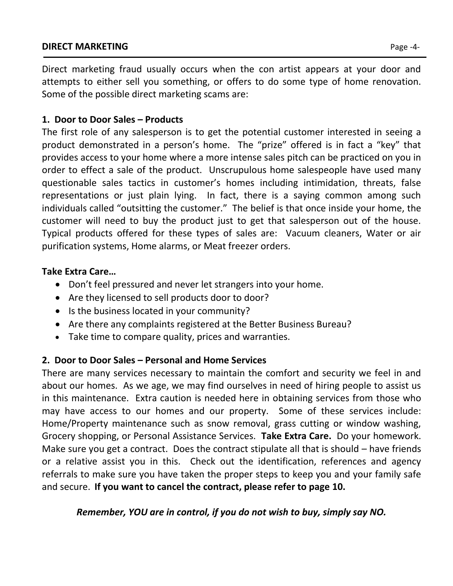# **DIRECT MARKETING** Page -4-

Direct marketing fraud usually occurs when the con artist appears at your door and attempts to either sell you something, or offers to do some type of home renovation. Some of the possible direct marketing scams are:

# **1. Door to Door Sales – Products**

The first role of any salesperson is to get the potential customer interested in seeing a product demonstrated in a person's home. The "prize" offered is in fact a "key" that provides access to your home where a more intense sales pitch can be practiced on you in order to effect a sale of the product. Unscrupulous home salespeople have used many questionable sales tactics in customer's homes including intimidation, threats, false representations or just plain lying. In fact, there is a saying common among such individuals called "outsitting the customer." The belief is that once inside your home, the customer will need to buy the product just to get that salesperson out of the house. Typical products offered for these types of sales are: Vacuum cleaners, Water or air purification systems, Home alarms, or Meat freezer orders.

# **Take Extra Care…**

- Don't feel pressured and never let strangers into your home.
- Are they licensed to sell products door to door?
- Is the business located in your community?
- Are there any complaints registered at the Better Business Bureau?
- Take time to compare quality, prices and warranties.

# **2. Door to Door Sales – Personal and Home Services**

There are many services necessary to maintain the comfort and security we feel in and about our homes. As we age, we may find ourselves in need of hiring people to assist us in this maintenance. Extra caution is needed here in obtaining services from those who may have access to our homes and our property. Some of these services include: Home/Property maintenance such as snow removal, grass cutting or window washing, Grocery shopping, or Personal Assistance Services. **Take Extra Care.** Do your homework. Make sure you get a contract. Does the contract stipulate all that is should – have friends or a relative assist you in this. Check out the identification, references and agency referrals to make sure you have taken the proper steps to keep you and your family safe and secure. **If you want to cancel the contract, please refer to page 10.** 

*Remember, YOU are in control, if you do not wish to buy, simply say NO.*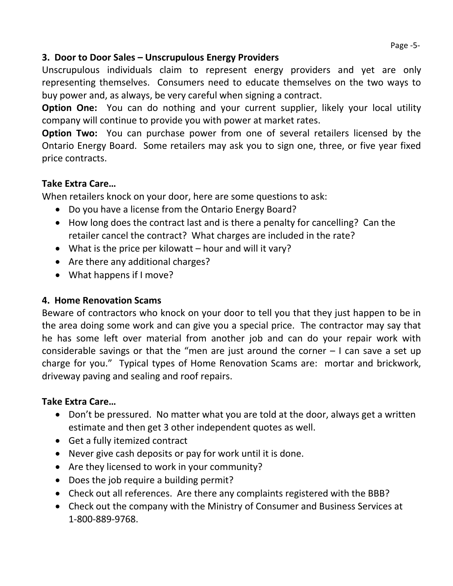# **3. Door to Door Sales – Unscrupulous Energy Providers**

Unscrupulous individuals claim to represent energy providers and yet are only representing themselves. Consumers need to educate themselves on the two ways to buy power and, as always, be very careful when signing a contract.

**Option One:** You can do nothing and your current supplier, likely your local utility company will continue to provide you with power at market rates.

**Option Two:** You can purchase power from one of several retailers licensed by the Ontario Energy Board. Some retailers may ask you to sign one, three, or five year fixed price contracts.

# **Take Extra Care…**

When retailers knock on your door, here are some questions to ask:

- Do you have a license from the Ontario Energy Board?
- How long does the contract last and is there a penalty for cancelling? Can the retailer cancel the contract? What charges are included in the rate?
- What is the price per kilowatt hour and will it vary?
- Are there any additional charges?
- What happens if I move?

# **4. Home Renovation Scams**

Beware of contractors who knock on your door to tell you that they just happen to be in the area doing some work and can give you a special price. The contractor may say that he has some left over material from another job and can do your repair work with considerable savings or that the "men are just around the corner  $-1$  can save a set up charge for you." Typical types of Home Renovation Scams are: mortar and brickwork, driveway paving and sealing and roof repairs.

# **Take Extra Care…**

- Don't be pressured. No matter what you are told at the door, always get a written estimate and then get 3 other independent quotes as well.
- Get a fully itemized contract
- Never give cash deposits or pay for work until it is done.
- Are they licensed to work in your community?
- Does the job require a building permit?
- Check out all references. Are there any complaints registered with the BBB?
- Check out the company with the Ministry of Consumer and Business Services at 1-800-889-9768.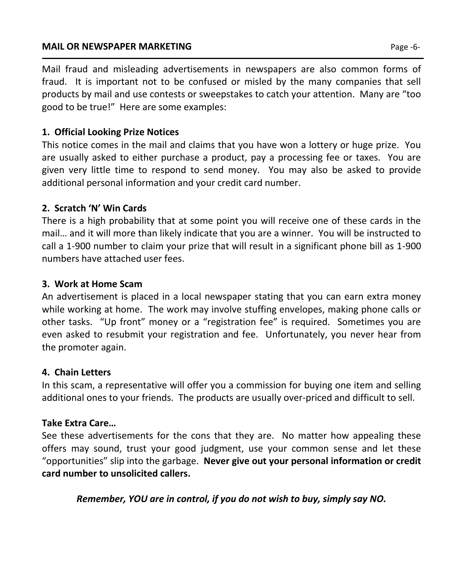# **MAIL OR NEWSPAPER MARKETING Page -6-**

Mail fraud and misleading advertisements in newspapers are also common forms of fraud. It is important not to be confused or misled by the many companies that sell products by mail and use contests or sweepstakes to catch your attention. Many are "too good to be true!" Here are some examples:

# **1. Official Looking Prize Notices**

This notice comes in the mail and claims that you have won a lottery or huge prize. You are usually asked to either purchase a product, pay a processing fee or taxes. You are given very little time to respond to send money. You may also be asked to provide additional personal information and your credit card number.

# **2. Scratch 'N' Win Cards**

There is a high probability that at some point you will receive one of these cards in the mail… and it will more than likely indicate that you are a winner. You will be instructed to call a 1-900 number to claim your prize that will result in a significant phone bill as 1-900 numbers have attached user fees.

# **3. Work at Home Scam**

An advertisement is placed in a local newspaper stating that you can earn extra money while working at home. The work may involve stuffing envelopes, making phone calls or other tasks. "Up front" money or a "registration fee" is required. Sometimes you are even asked to resubmit your registration and fee. Unfortunately, you never hear from the promoter again.

# **4. Chain Letters**

In this scam, a representative will offer you a commission for buying one item and selling additional ones to your friends. The products are usually over-priced and difficult to sell.

# **Take Extra Care…**

See these advertisements for the cons that they are. No matter how appealing these offers may sound, trust your good judgment, use your common sense and let these "opportunities" slip into the garbage. **Never give out your personal information or credit card number to unsolicited callers.**

*Remember, YOU are in control, if you do not wish to buy, simply say NO.*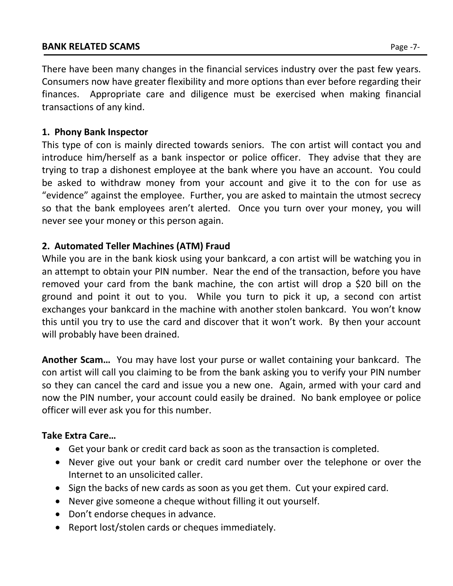# **BANK RELATED SCAMS** Page -7-

# **1. Phony Bank Inspector**

This type of con is mainly directed towards seniors. The con artist will contact you and introduce him/herself as a bank inspector or police officer. They advise that they are trying to trap a dishonest employee at the bank where you have an account. You could be asked to withdraw money from your account and give it to the con for use as "evidence" against the employee. Further, you are asked to maintain the utmost secrecy so that the bank employees aren't alerted. Once you turn over your money, you will never see your money or this person again.

# **2. Automated Teller Machines (ATM) Fraud**

While you are in the bank kiosk using your bankcard, a con artist will be watching you in an attempt to obtain your PIN number. Near the end of the transaction, before you have removed your card from the bank machine, the con artist will drop a \$20 bill on the ground and point it out to you. While you turn to pick it up, a second con artist exchanges your bankcard in the machine with another stolen bankcard. You won't know this until you try to use the card and discover that it won't work. By then your account will probably have been drained.

**Another Scam…** You may have lost your purse or wallet containing your bankcard. The con artist will call you claiming to be from the bank asking you to verify your PIN number so they can cancel the card and issue you a new one. Again, armed with your card and now the PIN number, your account could easily be drained. No bank employee or police officer will ever ask you for this number.

# **Take Extra Care…**

- Get your bank or credit card back as soon as the transaction is completed.
- Never give out your bank or credit card number over the telephone or over the Internet to an unsolicited caller.
- Sign the backs of new cards as soon as you get them. Cut your expired card.
- Never give someone a cheque without filling it out yourself.
- Don't endorse cheques in advance.
- Report lost/stolen cards or cheques immediately.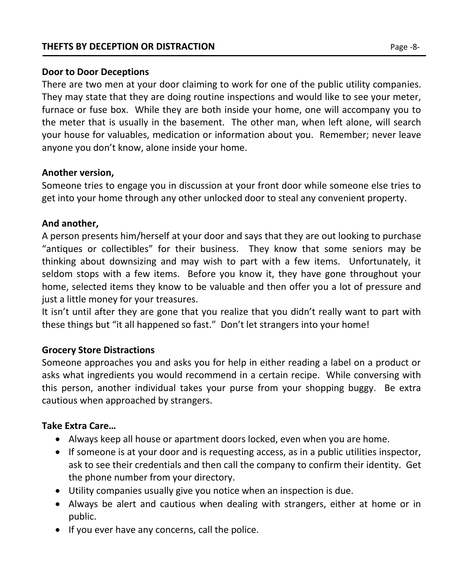# **Door to Door Deceptions**

There are two men at your door claiming to work for one of the public utility companies. They may state that they are doing routine inspections and would like to see your meter, furnace or fuse box. While they are both inside your home, one will accompany you to the meter that is usually in the basement. The other man, when left alone, will search your house for valuables, medication or information about you. Remember; never leave anyone you don't know, alone inside your home.

# **Another version,**

Someone tries to engage you in discussion at your front door while someone else tries to get into your home through any other unlocked door to steal any convenient property.

# **And another,**

A person presents him/herself at your door and says that they are out looking to purchase "antiques or collectibles" for their business. They know that some seniors may be thinking about downsizing and may wish to part with a few items. Unfortunately, it seldom stops with a few items. Before you know it, they have gone throughout your home, selected items they know to be valuable and then offer you a lot of pressure and just a little money for your treasures.

It isn't until after they are gone that you realize that you didn't really want to part with these things but "it all happened so fast." Don't let strangers into your home!

# **Grocery Store Distractions**

Someone approaches you and asks you for help in either reading a label on a product or asks what ingredients you would recommend in a certain recipe. While conversing with this person, another individual takes your purse from your shopping buggy. Be extra cautious when approached by strangers.

# **Take Extra Care…**

- Always keep all house or apartment doors locked, even when you are home.
- If someone is at your door and is requesting access, as in a public utilities inspector, ask to see their credentials and then call the company to confirm their identity. Get the phone number from your directory.
- Utility companies usually give you notice when an inspection is due.
- Always be alert and cautious when dealing with strangers, either at home or in public.
- If you ever have any concerns, call the police.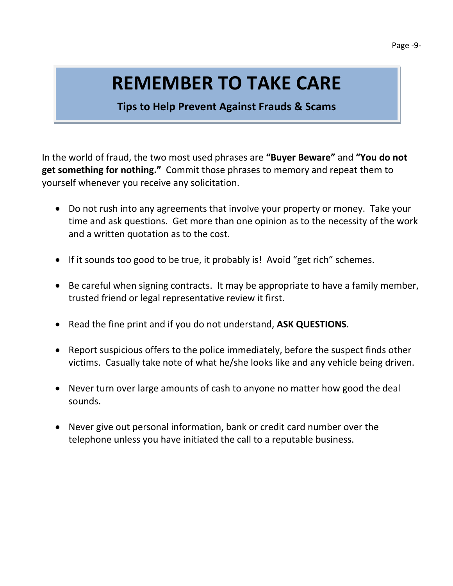# **REMEMBER TO TAKE CARE**

# **Tips to Help Prevent Against Frauds & Scams**

In the world of fraud, the two most used phrases are **"Buyer Beware"** and **"You do not get something for nothing."** Commit those phrases to memory and repeat them to yourself whenever you receive any solicitation.

- Do not rush into any agreements that involve your property or money. Take your time and ask questions. Get more than one opinion as to the necessity of the work and a written quotation as to the cost.
- If it sounds too good to be true, it probably is! Avoid "get rich" schemes.
- Be careful when signing contracts. It may be appropriate to have a family member, trusted friend or legal representative review it first.
- Read the fine print and if you do not understand, **ASK QUESTIONS**.
- Report suspicious offers to the police immediately, before the suspect finds other victims. Casually take note of what he/she looks like and any vehicle being driven.
- Never turn over large amounts of cash to anyone no matter how good the deal sounds.
- Never give out personal information, bank or credit card number over the telephone unless you have initiated the call to a reputable business.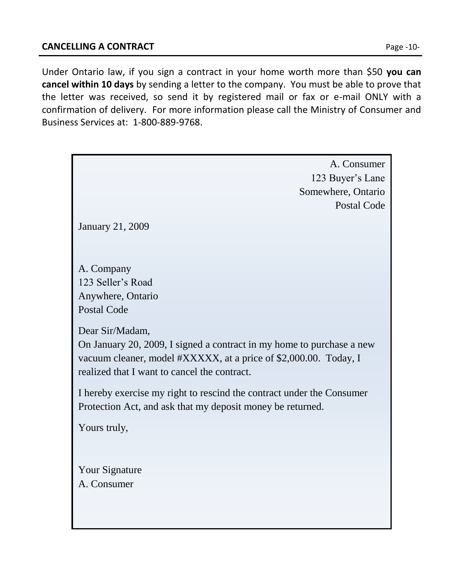Under Ontario law, if you sign a contract in your home worth more than \$50 **you can cancel within 10 days** by sending a letter to the company. You must be able to prove that the letter was received, so send it by registered mail or fax or e-mail ONLY with a confirmation of delivery. For more information please call the Ministry of Consumer and Business Services at: 1-800-889-9768.

| A. Consumer                                                           |
|-----------------------------------------------------------------------|
| 123 Buyer's Lane                                                      |
| Somewhere, Ontario                                                    |
| Postal Code                                                           |
|                                                                       |
| <b>January 21, 2009</b>                                               |
|                                                                       |
|                                                                       |
| A. Company                                                            |
| 123 Seller's Road                                                     |
| Anywhere, Ontario                                                     |
| <b>Postal Code</b>                                                    |
|                                                                       |
| Dear Sir/Madam,                                                       |
| On January 20, 2009, I signed a contract in my home to purchase a new |
| vacuum cleaner, model #XXXXX, at a price of \$2,000.00. Today, I      |
| realized that I want to cancel the contract.                          |
|                                                                       |
| I hereby exercise my right to rescind the contract under the Consumer |
| Protection Act, and ask that my deposit money be returned.            |
|                                                                       |
| Yours truly,                                                          |
|                                                                       |
|                                                                       |
| <b>Your Signature</b>                                                 |
| A. Consumer                                                           |
|                                                                       |
|                                                                       |
|                                                                       |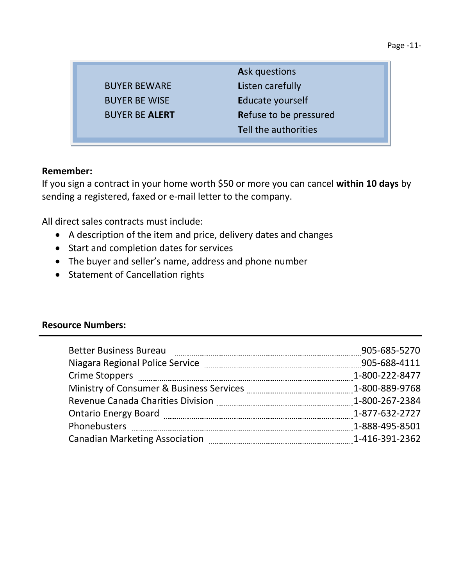|                       | <b>Ask questions</b>        |
|-----------------------|-----------------------------|
| <b>BUYER BEWARE</b>   | <b>Listen carefully</b>     |
| <b>BUYER BE WISE</b>  | Educate yourself            |
| <b>BUYER BE ALERT</b> | Refuse to be pressured      |
|                       | <b>Tell the authorities</b> |
|                       |                             |

## **Remember:**

If you sign a contract in your home worth \$50 or more you can cancel **within 10 days** by sending a registered, faxed or e-mail letter to the company.

All direct sales contracts must include:

- A description of the item and price, delivery dates and changes
- Start and completion dates for services
- The buyer and seller's name, address and phone number
- Statement of Cancellation rights

## **Resource Numbers:**

| <b>Better Business Bureau</b>         | 905-685-5270   |
|---------------------------------------|----------------|
| Niagara Regional Police Service       | 905-688-4111   |
|                                       | 1-800-222-8477 |
|                                       |                |
|                                       |                |
|                                       |                |
| Phonebusters                          | 1-888-495-8501 |
| <b>Canadian Marketing Association</b> |                |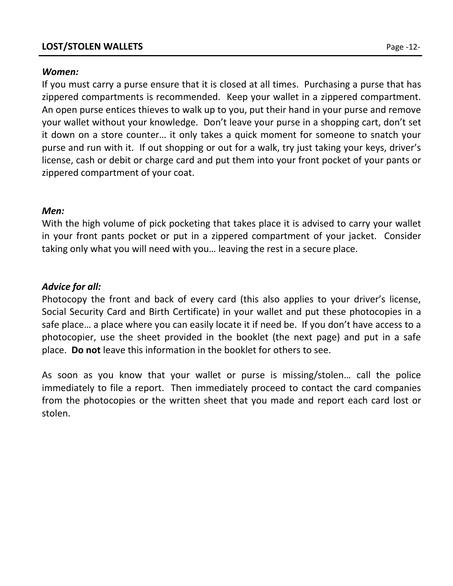# **LOST/STOLEN WALLETS** Page -12-

### *Women:*

If you must carry a purse ensure that it is closed at all times. Purchasing a purse that has zippered compartments is recommended. Keep your wallet in a zippered compartment. An open purse entices thieves to walk up to you, put their hand in your purse and remove your wallet without your knowledge. Don't leave your purse in a shopping cart, don't set it down on a store counter… it only takes a quick moment for someone to snatch your purse and run with it. If out shopping or out for a walk, try just taking your keys, driver's license, cash or debit or charge card and put them into your front pocket of your pants or zippered compartment of your coat.

## *Men:*

With the high volume of pick pocketing that takes place it is advised to carry your wallet in your front pants pocket or put in a zippered compartment of your jacket. Consider taking only what you will need with you… leaving the rest in a secure place.

# *Advice for all:*

Photocopy the front and back of every card (this also applies to your driver's license, Social Security Card and Birth Certificate) in your wallet and put these photocopies in a safe place… a place where you can easily locate it if need be. If you don't have access to a photocopier, use the sheet provided in the booklet (the next page) and put in a safe place. **Do not** leave this information in the booklet for others to see.

As soon as you know that your wallet or purse is missing/stolen… call the police immediately to file a report. Then immediately proceed to contact the card companies from the photocopies or the written sheet that you made and report each card lost or stolen.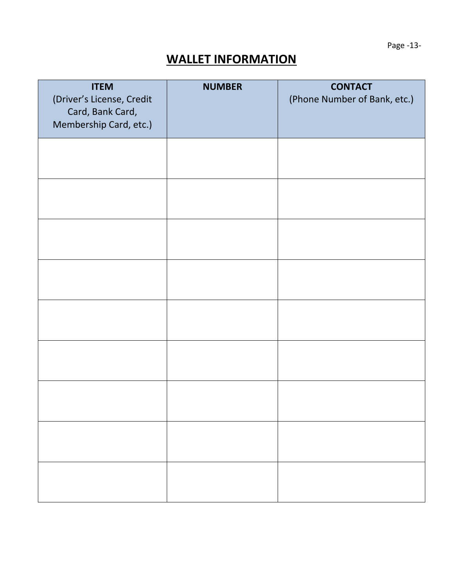Page -13-

# **WALLET INFORMATION**

| <b>ITEM</b><br>(Driver's License, Credit<br>Card, Bank Card, | <b>NUMBER</b> | <b>CONTACT</b><br>(Phone Number of Bank, etc.) |
|--------------------------------------------------------------|---------------|------------------------------------------------|
| Membership Card, etc.)                                       |               |                                                |
|                                                              |               |                                                |
|                                                              |               |                                                |
|                                                              |               |                                                |
|                                                              |               |                                                |
|                                                              |               |                                                |
|                                                              |               |                                                |
|                                                              |               |                                                |
|                                                              |               |                                                |
|                                                              |               |                                                |
|                                                              |               |                                                |
|                                                              |               |                                                |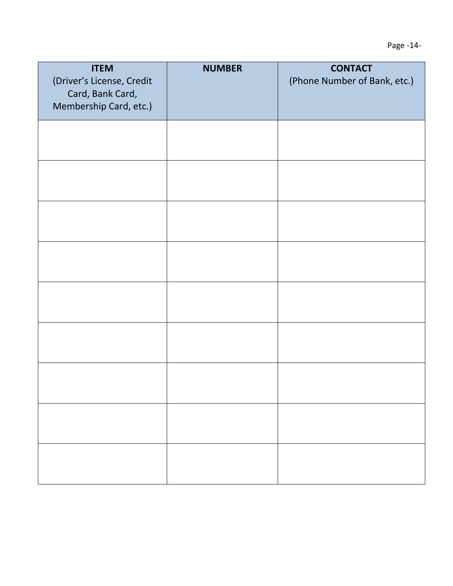| <b>ITEM</b>                                   | <b>NUMBER</b> | <b>CONTACT</b>               |
|-----------------------------------------------|---------------|------------------------------|
| (Driver's License, Credit<br>Card, Bank Card, |               | (Phone Number of Bank, etc.) |
| Membership Card, etc.)                        |               |                              |
|                                               |               |                              |
|                                               |               |                              |
|                                               |               |                              |
|                                               |               |                              |
|                                               |               |                              |
|                                               |               |                              |
|                                               |               |                              |
|                                               |               |                              |
|                                               |               |                              |
|                                               |               |                              |
|                                               |               |                              |
|                                               |               |                              |
|                                               |               |                              |
|                                               |               |                              |
|                                               |               |                              |
|                                               |               |                              |
|                                               |               |                              |
|                                               |               |                              |
|                                               |               |                              |
|                                               |               |                              |
|                                               |               |                              |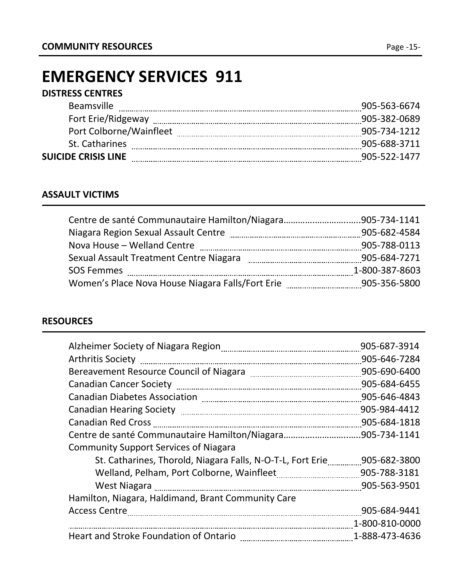# **EMERGENCY SERVICES 911**

# **DISTRESS CENTRES**

| <b>Beamsville</b>          | 905-563-6674 |
|----------------------------|--------------|
| Fort Erie/Ridgeway         | 905-382-0689 |
| Port Colborne/Wainfleet    | 905-734-1212 |
| St. Catharines             | 905-688-3711 |
| <b>SUICIDE CRISIS LINE</b> | 905-522-1477 |
|                            |              |

# **ASSAULT VICTIMS**

| Niagara Region Sexual Assault Centre             | 905-682-4584   |
|--------------------------------------------------|----------------|
| Nova House - Welland Centre                      | 905-788-0113   |
| Sexual Assault Treatment Centre Niagara          | 905-684-7271   |
| <b>SOS Femmes</b>                                | 1-800-387-8603 |
| Women's Place Nova House Niagara Falls/Fort Erie | 905-356-5800   |

# **RESOURCES**

| Alzheimer Society of Niagara Region                        | 905-687-3914   |
|------------------------------------------------------------|----------------|
|                                                            | 905-646-7284   |
|                                                            | 905-690-6400   |
|                                                            | 905-684-6455   |
|                                                            | 905-646-4843   |
|                                                            | 905-984-4412   |
| <b>Canadian Red Cross</b>                                  | 905-684-1818   |
|                                                            | .905-734-1141  |
| <b>Community Support Services of Niagara</b>               |                |
| St. Catharines, Thorold, Niagara Falls, N-O-T-L, Fort Erie | 905-682-3800   |
|                                                            | 905-788-3181   |
|                                                            | 905-563-9501   |
| Hamilton, Niagara, Haldimand, Brant Community Care         |                |
| Access Centre [11] Access Centre   2014                    | 905-684-9441   |
|                                                            | 1-800-810-0000 |
|                                                            | 1-888-473-4636 |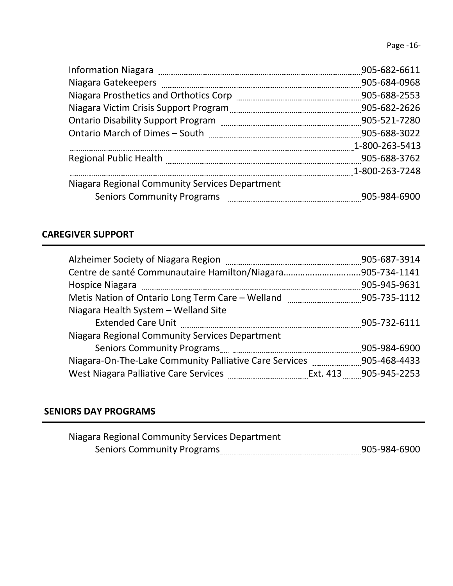|                                                | 905-682-6611   |
|------------------------------------------------|----------------|
|                                                | 905-684-0968   |
|                                                | 905-688-2553   |
|                                                | 905-682-2626   |
|                                                | 905-521-7280   |
|                                                | 905-688-3022   |
|                                                | 1-800-263-5413 |
|                                                | 905-688-3762   |
|                                                | 1-800-263-7248 |
| Niagara Regional Community Services Department |                |
| <b>Seniors Community Programs</b>              | 905-984-6900   |
|                                                |                |

# **CAREGIVER SUPPORT**

|                                                                                 | 905-687-3914 |
|---------------------------------------------------------------------------------|--------------|
|                                                                                 |              |
|                                                                                 | 905-945-9631 |
|                                                                                 |              |
| Niagara Health System - Welland Site                                            |              |
|                                                                                 | 905-732-6111 |
| Niagara Regional Community Services Department                                  |              |
|                                                                                 | 905-984-6900 |
| Niagara-On-The-Lake Community Palliative Care Services ____________905-468-4433 |              |
|                                                                                 |              |

# **SENIORS DAY PROGRAMS**

| Niagara Regional Community Services Department |              |
|------------------------------------------------|--------------|
| <b>Seniors Community Programs</b>              | 905-984-6900 |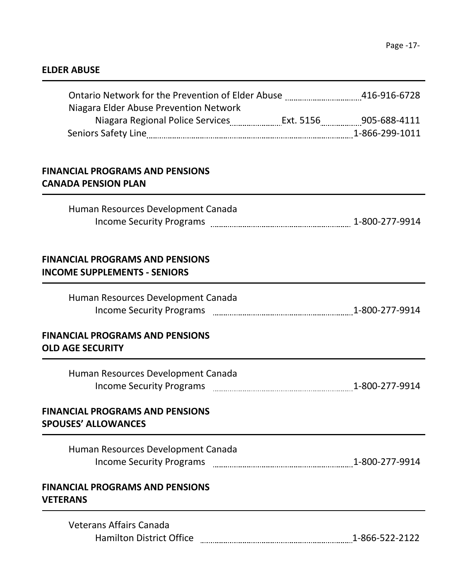# **ELDER ABUSE**

| Ontario Network for the Prevention of Elder Abuse 1945 10-916-6728            |  |
|-------------------------------------------------------------------------------|--|
| Niagara Elder Abuse Prevention Network                                        |  |
| <b>FINANCIAL PROGRAMS AND PENSIONS</b><br><b>CANADA PENSION PLAN</b>          |  |
| Human Resources Development Canada                                            |  |
| <b>FINANCIAL PROGRAMS AND PENSIONS</b><br><b>INCOME SUPPLEMENTS - SENIORS</b> |  |
| Human Resources Development Canada                                            |  |
| <b>FINANCIAL PROGRAMS AND PENSIONS</b><br><b>OLD AGE SECURITY</b>             |  |
| Human Resources Development Canada                                            |  |
| <b>FINANCIAL PROGRAMS AND PENSIONS</b><br><b>SPOUSES' ALLOWANCES</b>          |  |
| Human Resources Development Canada                                            |  |
| <b>FINANCIAL PROGRAMS AND PENSIONS</b><br><b>VETERANS</b>                     |  |
| <b>Veterans Affairs Canada</b>                                                |  |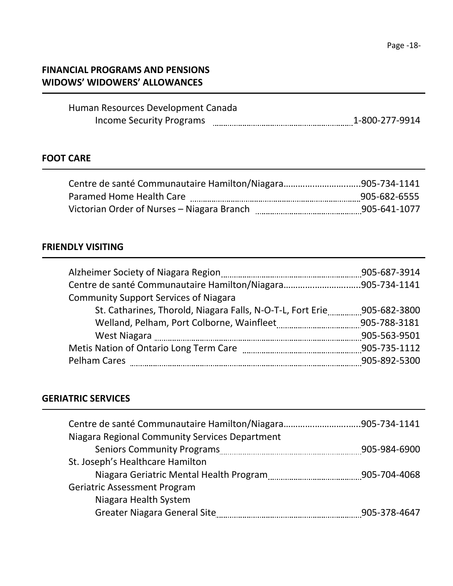# **FINANCIAL PROGRAMS AND PENSIONS WIDOWS' WIDOWERS' ALLOWANCES**

| Human Resources Development Canada |                |
|------------------------------------|----------------|
| Income Security Programs           | 1-800-277-9914 |

# **FOOT CARE**

| Paramed Home Health Care                   | 905-682-6555 |
|--------------------------------------------|--------------|
| Victorian Order of Nurses - Niagara Branch | 905-641-1077 |

# **FRIENDLY VISITING**

|                                                            | 905-687-3914 |
|------------------------------------------------------------|--------------|
|                                                            |              |
| <b>Community Support Services of Niagara</b>               |              |
| St. Catharines, Thorold, Niagara Falls, N-O-T-L, Fort Erie | 905-682-3800 |
|                                                            |              |
|                                                            | 905-563-9501 |
|                                                            | 905-735-1112 |
| <b>Pelham Cares</b>                                        | 905-892-5300 |

# **GERIATRIC SERVICES**

| Niagara Regional Community Services Department             |              |
|------------------------------------------------------------|--------------|
|                                                            | 905-984-6900 |
| St. Joseph's Healthcare Hamilton                           |              |
| Niagara Geriatric Mental Health Program [11] 1905-704-4068 |              |
| <b>Geriatric Assessment Program</b>                        |              |
| Niagara Health System                                      |              |
| <b>Greater Niagara General Site</b>                        | 905-378-4647 |
|                                                            |              |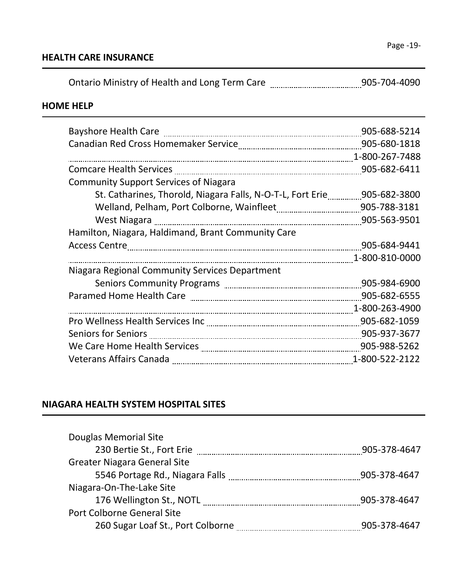# **HOME HELP**

| Bayshore Health Care                                                     | 905-688-5214   |
|--------------------------------------------------------------------------|----------------|
|                                                                          |                |
|                                                                          | 1-800-267-7488 |
| <b>Comcare Health Services</b>                                           | 905-682-6411   |
| <b>Community Support Services of Niagara</b>                             |                |
| St. Catharines, Thorold, Niagara Falls, N-O-T-L, Fort Erie 1805-682-3800 |                |
|                                                                          | 905-788-3181   |
|                                                                          | 905-563-9501   |
| Hamilton, Niagara, Haldimand, Brant Community Care                       |                |
|                                                                          | 905-684-9441   |
|                                                                          | 1-800-810-0000 |
| Niagara Regional Community Services Department                           |                |
|                                                                          | 905-984-6900   |
|                                                                          | 905-682-6555   |
|                                                                          | 1-800-263-4900 |
|                                                                          | 905-682-1059   |
|                                                                          |                |
|                                                                          |                |
|                                                                          | 1-800-522-2122 |

# **NIAGARA HEALTH SYSTEM HOSPITAL SITES**

| Douglas Memorial Site               |              |
|-------------------------------------|--------------|
|                                     | 905-378-4647 |
| <b>Greater Niagara General Site</b> |              |
| 5546 Portage Rd., Niagara Falls     | 905-378-4647 |
| Niagara-On-The-Lake Site            |              |
| 176 Wellington St., NOTL            | 905-378-4647 |
| Port Colborne General Site          |              |
| 260 Sugar Loaf St., Port Colborne   | 905-378-4647 |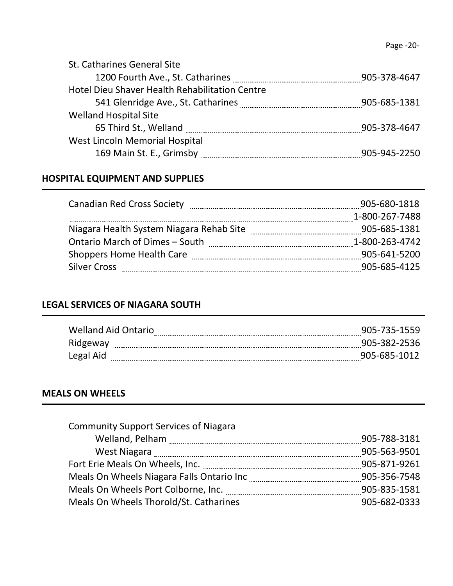| St. Catharines General Site                           |              |
|-------------------------------------------------------|--------------|
|                                                       | 905-378-4647 |
| <b>Hotel Dieu Shaver Health Rehabilitation Centre</b> |              |
|                                                       | 905-685-1381 |
| <b>Welland Hospital Site</b>                          |              |
|                                                       | 905-378-4647 |
| West Lincoln Memorial Hospital                        |              |
| 169 Main St. E., Grimsby                              | 905-945-2250 |
|                                                       |              |

# **HOSPITAL EQUIPMENT AND SUPPLIES**

| 905-680-1818   |
|----------------|
| 1-800-267-7488 |
| 905-685-1381   |
| 1-800-263-4742 |
| 905-641-5200   |
| 905-685-4125   |
|                |

# **LEGAL SERVICES OF NIAGARA SOUTH**

| <b>Welland Aid Ontario</b> | 905-735-1559 |
|----------------------------|--------------|
| Ridgeway                   | 905-382-2536 |
| Legal Aid                  | 905-685-1012 |

# **MEALS ON WHEELS**

| <b>Community Support Services of Niagara</b>                                               |              |
|--------------------------------------------------------------------------------------------|--------------|
|                                                                                            | 905-788-3181 |
| West Niagara                                                                               | 905-563-9501 |
|                                                                                            | 905-871-9261 |
| Meals On Wheels Niagara Falls Ontario Inc [1986] Meals On Wheels Niagara Falls Ontario Inc | 905-356-7548 |
|                                                                                            | 905-835-1581 |
| Meals On Wheels Thorold/St. Catharines                                                     | 905-682-0333 |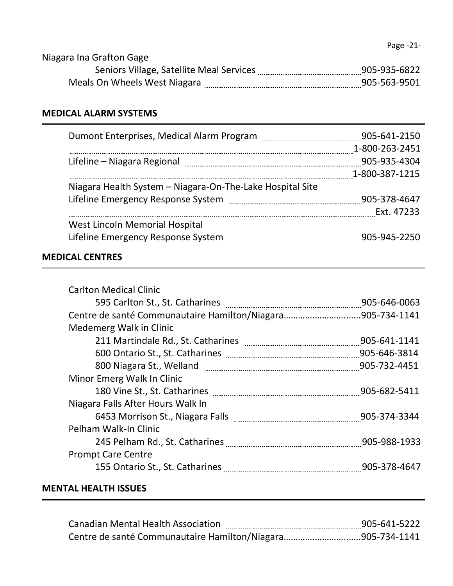| Niagara Ina Grafton Gage                 |              |
|------------------------------------------|--------------|
| Seniors Village, Satellite Meal Services | 905-935-6822 |
| Meals On Wheels West Niagara             | 905-563-9501 |

# **MEDICAL ALARM SYSTEMS**

|                                                           | 905-641-2150   |
|-----------------------------------------------------------|----------------|
|                                                           | 1-800-263-2451 |
| Lifeline – Niagara Regional                               | 905-935-4304   |
|                                                           | 1-800-387-1215 |
| Niagara Health System - Niagara-On-The-Lake Hospital Site |                |
|                                                           | 905-378-4647   |
|                                                           | Ext. 47233     |
| West Lincoln Memorial Hospital                            |                |
| Lifeline Emergency Response System                        | 905-945-2250   |

# **MEDICAL CENTRES**

| <b>Carlton Medical Clinic</b>     |              |
|-----------------------------------|--------------|
|                                   | 905-646-0063 |
|                                   |              |
| Medemerg Walk in Clinic           |              |
|                                   | 905-641-1141 |
|                                   | 905-646-3814 |
|                                   |              |
| Minor Emerg Walk In Clinic        |              |
|                                   | 905-682-5411 |
| Niagara Falls After Hours Walk In |              |
|                                   |              |
| Pelham Walk-In Clinic             |              |
|                                   |              |
| <b>Prompt Care Centre</b>         |              |
|                                   |              |
|                                   |              |

# **MENTAL HEALTH ISSUES**

| <b>Canadian Mental Health Association</b> | 905-641-5222 |
|-------------------------------------------|--------------|
|                                           |              |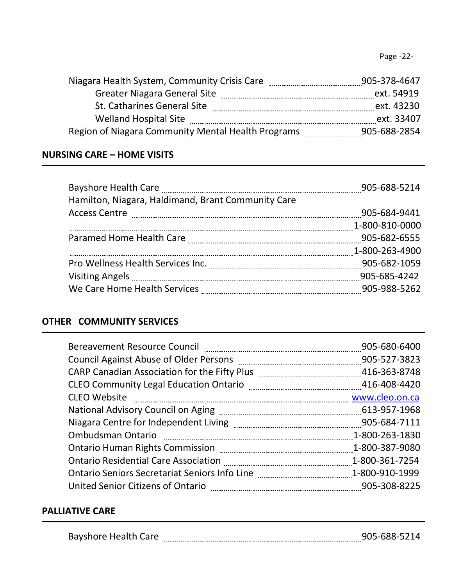Page -22-

| Niagara Health System, Community Crisis Care       | 905-378-4647 |
|----------------------------------------------------|--------------|
| <b>Greater Niagara General Site</b>                | ext. 54919   |
| St. Catharines General Site                        | ext. 43230   |
| <b>Welland Hospital Site</b>                       | ext. 33407   |
| Region of Niagara Community Mental Health Programs | 905-688-2854 |

# **NURSING CARE – HOME VISITS**

| Hamilton, Niagara, Haldimand, Brant Community Care | 905-688-5214   |
|----------------------------------------------------|----------------|
|                                                    | 905-684-9441   |
|                                                    | 1-800-810-0000 |
|                                                    | 905-682-6555   |
|                                                    | 1-800-263-4900 |
|                                                    | 905-682-1059   |
|                                                    | 905-685-4242   |
|                                                    |                |

# **OTHER COMMUNITY SERVICES**

|                     | 905-680-6400   |
|---------------------|----------------|
|                     | 905-527-3823   |
|                     |                |
|                     |                |
| <b>CLEO Website</b> |                |
|                     |                |
|                     |                |
|                     | 1-800-263-1830 |
|                     | 1-800-387-9080 |
|                     | 1-800-361-7254 |
|                     |                |
|                     |                |

# **PALLIATIVE CARE**

| <b>Bayshore Health Care</b> |  | ,,, |
|-----------------------------|--|-----|
|-----------------------------|--|-----|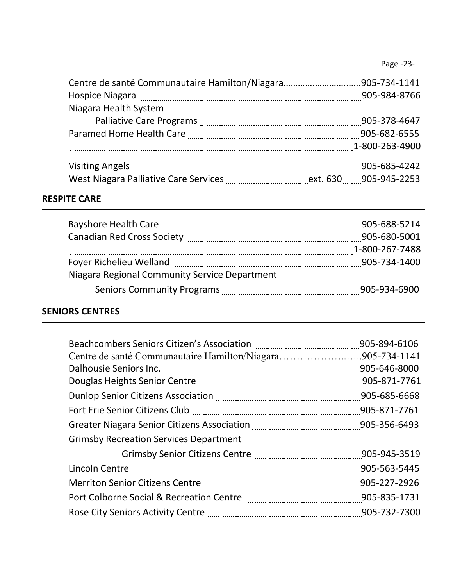|                                                                                                                | 905-984-8766   |
|----------------------------------------------------------------------------------------------------------------|----------------|
| Niagara Health System                                                                                          |                |
|                                                                                                                | 905-378-4647   |
| Paramed Home Health Care [11] parameters and Home Health Care [11] parameters and the Parameters and Parameter | 905-682-6555   |
|                                                                                                                | 1-800-263-4900 |
|                                                                                                                | 905-685-4242   |
|                                                                                                                |                |
|                                                                                                                |                |

# **RESPITE CARE**

| <b>Bayshore Health Care</b>                   | 905-688-5214   |
|-----------------------------------------------|----------------|
| <b>Canadian Red Cross Society</b>             | 905-680-5001   |
|                                               | 1-800-267-7488 |
| Foyer Richelieu Welland                       | 905-734-1400   |
| Niagara Regional Community Service Department |                |
|                                               | 905-934-6900   |

# **SENIORS CENTRES**

|                                                            | 905-894-6106 |
|------------------------------------------------------------|--------------|
| Centre de santé Communautaire Hamilton/Niagara905-734-1141 |              |
|                                                            |              |
|                                                            | 905-871-7761 |
|                                                            |              |
|                                                            |              |
|                                                            |              |
| <b>Grimsby Recreation Services Department</b>              |              |
|                                                            | 905-945-3519 |
|                                                            | 905-563-5445 |
|                                                            |              |
|                                                            | 905-835-1731 |
|                                                            | 905-732-7300 |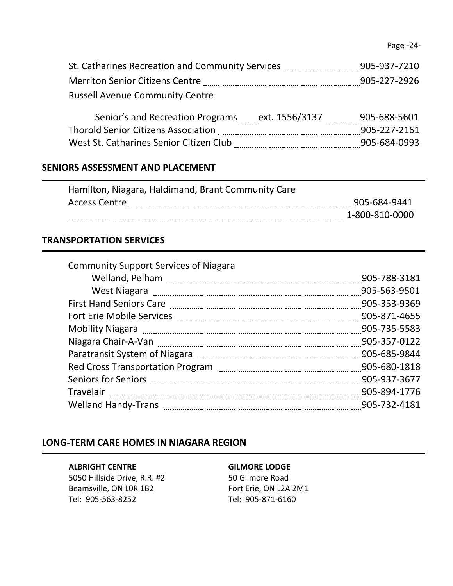| St. Catharines Recreation and Community Services | 905-937-7210 |
|--------------------------------------------------|--------------|
| <b>Merriton Senior Citizens Centre</b>           | 905-227-2926 |
| <b>Russell Avenue Community Centre</b>           |              |

| Senior's and Recreation Programs           | ext. 1556/3137 | 905-688-5601 |
|--------------------------------------------|----------------|--------------|
| <b>Thorold Senior Citizens Association</b> |                | 905-227-2161 |
| West St. Catharines Senior Citizen Club    |                | 905-684-0993 |

# **SENIORS ASSESSMENT AND PLACEMENT**

| Hamilton, Niagara, Haldimand, Brant Community Care |                |
|----------------------------------------------------|----------------|
| <b>Access Centre</b>                               | 905-684-9441   |
|                                                    | 1-800-810-0000 |
|                                                    |                |

## **TRANSPORTATION SERVICES**

| 905-788-3181 |
|--------------|
| 905-563-9501 |
| 905-353-9369 |
| 905-871-4655 |
| 905-735-5583 |
| 905-357-0122 |
| 905-685-9844 |
| 905-680-1818 |
| 905-937-3677 |
| 905-894-1776 |
| 905-732-4181 |
|              |

### **LONG-TERM CARE HOMES IN NIAGARA REGION**

#### **ALBRIGHT CENTRE GILMORE LODGE**

5050 Hillside Drive, R.R. #2 50 Gilmore Road Beamsville, ON LOR 1B2 Fort Erie, ON L2A 2M1 Tel: 905-563-8252 Tel: 905-871-6160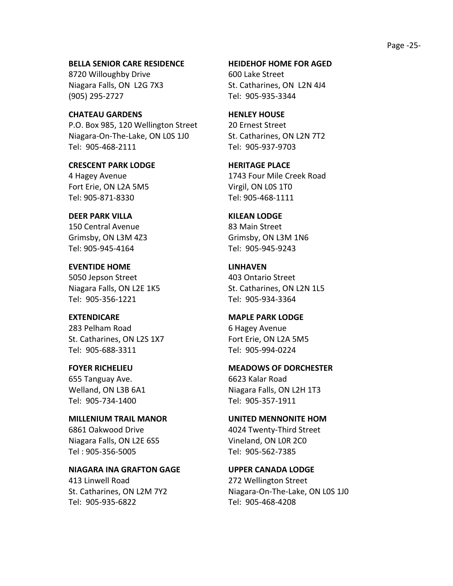Page -25-

**BELLA SENIOR CARE RESIDENCE HEIDEHOF HOME FOR AGED** 8720 Willoughby Drive 600 Lake Street Niagara Falls, ON L2G 7X3 St. Catharines, ON L2N 4J4 (905) 295-2727 Tel: 905-935-3344

**CHATEAU GARDENS HENLEY HOUSE** P.O. Box 985, 120 Wellington Street 20 Ernest Street Niagara-On-The-Lake, ON LOS 1J0 St. Catharines, ON L2N 7T2 Tel: 905-468-2111 Tel: 905-937-9703

**CRESCENT PARK LODGE HERITAGE PLACE** Fort Erie, ON L2A 5M5 Virgil, ON L0S 1T0 Tel: 905-871-8330 Tel: 905-468-1111

**DEER PARK VILLA KILEAN LODGE** 150 Central Avenue **83 Main Street** Tel: 905-945-4164 Tel: 905-945-9243

**EVENTIDE HOME LINHAVEN** 5050 Jepson Street 403 Ontario Street Tel: 905-356-1221 Tel: 905-934-3364

283 Pelham Road 6 Hagey Avenue St. Catharines, ON L2S 1X7 Fort Erie, ON L2A 5M5 Tel: 905-688-3311 Tel: 905-994-0224

655 Tanguay Ave. 6623 Kalar Road Tel: 905-734-1400 Tel: 905-357-1911

**MILLENIUM TRAIL MANOR UNITED MENNONITE HOM** 6861 Oakwood Drive **4024 Twenty-Third Street** Niagara Falls, ON L2E 6S5 Vineland, ON L0R 2C0 Tel : 905-356-5005 Tel: 905-562-7385

413 Linwell Road 272 Wellington Street Tel: 905-935-6822 Tel: 905-468-4208

4 Hagey Avenue 1743 Four Mile Creek Road

Grimsby, ON L3M 4Z3 Grimsby, ON L3M 1N6

Niagara Falls, ON L2E 1K5 St. Catharines, ON L2N 1L5

**EXTENDICARE MAPLE PARK LODGE** 

**FOYER RICHELIEU MEADOWS OF DORCHESTER** Welland, ON L3B 6A1 Niagara Falls, ON L2H 1T3

**NIAGARA INA GRAFTON GAGE UPPER CANADA LODGE** St. Catharines, ON L2M 7Y2 Niagara-On-The-Lake, ON L0S 1J0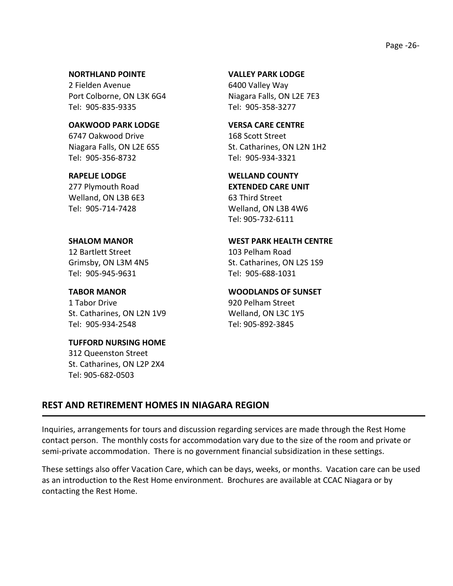### Page -26-

#### **NORTHLAND POINTE VALLEY PARK LODGE**

2 Fielden Avenue 6400 Valley Way Port Colborne, ON L3K 6G4 Niagara Falls, ON L2E 7E3 Tel: 905-835-9335 Tel: 905-358-3277

**OAKWOOD PARK LODGE VERSA CARE CENTRE** 6747 Oakwood Drive 168 Scott Street Tel: 905-356-8732 Tel: 905-934-3321

277 Plymouth Road **EXTENDED CARE UNIT** Welland, ON L3B 6E3 63 Third Street

12 Bartlett Street 103 Pelham Road

Tel: 905-945-9631 Tel: 905-688-1031

1 Tabor Drive 920 Pelham Street St. Catharines, ON L2N 1V9 Welland, ON L3C 1Y5 Tel: 905-934-2548 Tel: 905-892-3845

# **TUFFORD NURSING HOME**

312 Queenston Street St. Catharines, ON L2P 2X4 Tel: 905-682-0503

Niagara Falls, ON L2E 6S5 St. Catharines, ON L2N 1H2

### **RAPELJE LODGE WELLAND COUNTY**

Tel: 905-714-7428 Welland, ON L3B 4W6 Tel: 905-732-6111

### **SHALOM MANOR WEST PARK HEALTH CENTRE**

Grimsby, ON L3M 4N5 St. Catharines, ON L2S 1S9

#### **TABOR MANOR WOODLANDS OF SUNSET**

# **REST AND RETIREMENT HOMES IN NIAGARA REGION**

Inquiries, arrangements for tours and discussion regarding services are made through the Rest Home contact person. The monthly costs for accommodation vary due to the size of the room and private or semi-private accommodation. There is no government financial subsidization in these settings.

These settings also offer Vacation Care, which can be days, weeks, or months. Vacation care can be used as an introduction to the Rest Home environment. Brochures are available at CCAC Niagara or by contacting the Rest Home.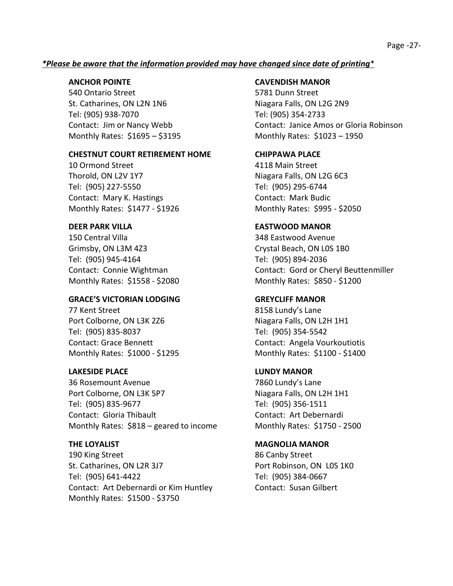### Page -27-

### *\*Please be aware that the information provided may have changed since date of printing*\*

540 Ontario Street 5781 Dunn Street St. Catharines, ON L2N 1N6 Niagara Falls, ON L2G 2N9 Tel: (905) 938-7070 Tel: (905) 354-2733 Monthly Rates: \$1695 – \$3195 Monthly Rates: \$1023 – 1950

### **CHESTNUT COURT RETIREMENT HOME CHIPPAWA PLACE**

10 Ormond Street 4118 Main Street Thorold, ON L2V 1Y7 Niagara Falls, ON L2G 6C3 Tel: (905) 227-5550 Tel: (905) 295-6744 Contact: Mary K. Hastings Contact: Mark Budic Monthly Rates: \$1477 - \$1926 Monthly Rates: \$995 - \$2050

150 Central Villa 348 Eastwood Avenue Grimsby, ON L3M 4Z3 Crystal Beach, ON L0S 1B0 Tel: (905) 945-4164 Tel: (905) 894-2036 Monthly Rates: \$1558 - \$2080 Monthly Rates: \$850 - \$1200

### **GRACE'S VICTORIAN LODGING GREYCLIFF MANOR**

77 Kent Street **8158 Lundy's Lane** Port Colborne, ON L3K 2Z6 Niagara Falls, ON L2H 1H1 Tel: (905) 835-8037 Tel: (905) 354-5542

### **LAKESIDE PLACE LUNDY MANOR**

36 Rosemount Avenue 7860 Lundy's Lane Port Colborne, ON L3K 5P7 Niagara Falls, ON L2H 1H1 Tel: (905) 835-9677 Tel: (905) 356-1511 Contact: Gloria Thibault Contact: Art Debernardi Monthly Rates: \$818 – geared to income Monthly Rates: \$1750 - 2500

190 King Street 2012 190 King Street St. Catharines, ON L2R 3J7 Port Robinson, ON L0S 1K0 Tel: (905) 641-4422 Tel: (905) 384-0667 Contact: Art Debernardi or Kim Huntley Contact: Susan Gilbert Monthly Rates: \$1500 - \$3750

### **ANCHOR POINTE CAVENDISH MANOR**

Contact: Jim or Nancy Webb Contact: Janice Amos or Gloria Robinson

### **DEER PARK VILLA EASTWOOD MANOR**

Contact: Connie Wightman Contact: Gord or Cheryl Beuttenmiller

Contact: Grace Bennett Contact: Angela Vourkoutiotis Monthly Rates: \$1000 - \$1295 Monthly Rates: \$1100 - \$1400

### **THE LOYALIST CONSUMING A MAGNOLIA MANOR**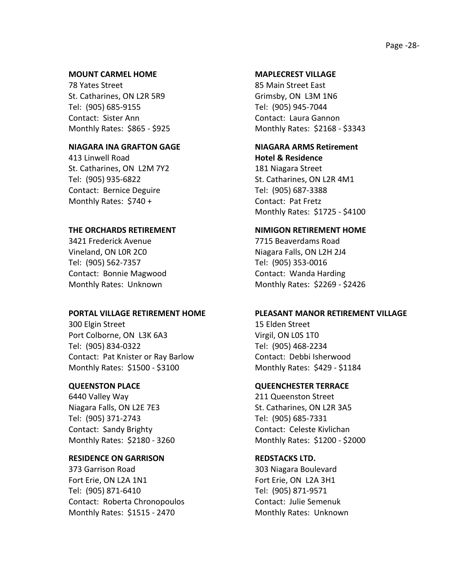#### **MOUNT CARMEL HOME MAPLECREST VILLAGE**

78 Yates Street 85 Main Street East St. Catharines, ON L2R 5R9 Grimsby, ON L3M 1N6 Tel: (905) 685-9155 Tel: (905) 945-7044 Contact: Sister Ann Contact: Laura Gannon

### **NIAGARA INA GRAFTON GAGE NIAGARA ARMS Retirement**

413 Linwell Road **Hotel & Residence** St. Catharines, ON L2M 7Y2 181 Niagara Street Tel: (905) 935-6822 St. Catharines, ON L2R 4M1 Contact: Bernice Deguire Tel: (905) 687-3388 Monthly Rates: \$740 + Contact: Pat Fretz

3421 Frederick Avenue 7715 Beaverdams Road Vineland, ON L0R 2C0 Niagara Falls, ON L2H 2J4 Tel: (905) 562-7357 Tel: (905) 353-0016 Contact: Bonnie Magwood Contact: Wanda Harding

300 Elgin Street 15 Elden Street Port Colborne, ON L3K 6A3 Virgil, ON L0S 1T0 Tel: (905) 834-0322 Tel: (905) 468-2234 Contact: Pat Knister or Ray Barlow Contact: Debbi Isherwood Monthly Rates: \$1500 - \$3100 Monthly Rates: \$429 - \$1184

6440 Valley Way 211 Queenston Street Niagara Falls, ON L2E 7E3 St. Catharines, ON L2R 3A5 Tel: (905) 371-2743 Tel: (905) 685-7331 Contact: Sandy Brighty Contact: Celeste Kivlichan

### **RESIDENCE ON GARRISON REDSTACKS LTD.**

373 Garrison Road 303 Niagara Boulevard Fort Erie, ON L2A 1N1 Fort Erie, ON L2A 3H1 Tel: (905) 871-6410 Tel: (905) 871-9571 Contact: Roberta Chronopoulos Contact: Julie Semenuk Monthly Rates: \$1515 - 2470 Monthly Rates: Unknown

Monthly Rates: \$865 - \$925 Monthly Rates: \$2168 - \$3343

Monthly Rates: \$1725 - \$4100

#### **THE ORCHARDS RETIREMENT NIMIGON RETIREMENT HOME**

Monthly Rates: Unknown Monthly Rates: \$2269 - \$2426

#### **PORTAL VILLAGE RETIREMENT HOME PLEASANT MANOR RETIREMENT VILLAGE**

#### **QUEENSTON PLACE QUEENCHESTER TERRACE**

Monthly Rates: \$2180 - 3260 Monthly Rates: \$1200 - \$2000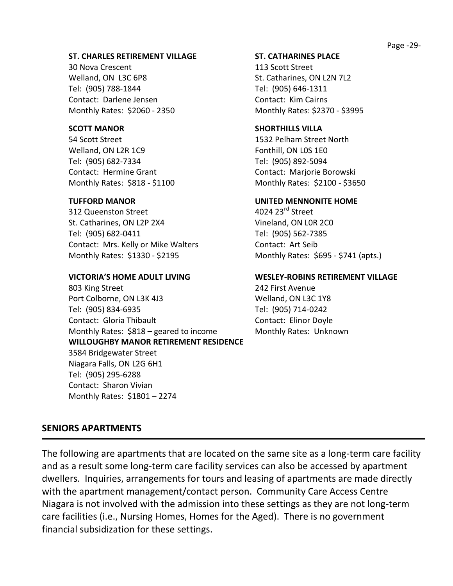### **ST. CHARLES RETIREMENT VILLAGE ST. CATHARINES PLACE**

30 Nova Crescent 113 Scott Street Welland, ON L3C 6P8 St. Catharines, ON L2N 7L2 Tel: (905) 788-1844 Tel: (905) 646-1311 Contact: Darlene Jensen Contact: Kim Cairns

54 Scott Street 1532 Pelham Street North Welland, ON L2R 1C9 Fonthill, ON L0S 1E0 Tel: (905) 682-7334 Tel: (905) 892-5094 Contact: Hermine Grant Contact: Marjorie Borowski

312 Queenston Street 4024 23<sup>rd</sup> Street St. Catharines, ON L2P 2X4 Vineland, ON L0R 2C0 Tel: (905) 682-0411 Tel: (905) 562-7385 Contact: Mrs. Kelly or Mike Walters Contact: Art Seib Monthly Rates: \$1330 - \$2195 Monthly Rates: \$695 - \$741 (apts.)

803 King Street 242 First Avenue Port Colborne, ON L3K 4J3 Welland, ON L3C 1Y8 Tel: (905) 834-6935 Tel: (905) 714-0242 Contact: Gloria Thibault **Contact: Elinor Doyle** Monthly Rates:  $$818$  – geared to income Monthly Rates: Unknown **WILLOUGHBY MANOR RETIREMENT RESIDENCE** 3584 Bridgewater Street Niagara Falls, ON L2G 6H1 Tel: (905) 295-6288 Contact: Sharon Vivian Monthly Rates: \$1801 – 2274

Monthly Rates: \$2060 - 2350 Monthly Rates: \$2370 - \$3995

### **SCOTT MANOR SHORTHILLS VILLA**

Monthly Rates: \$818 - \$1100 Monthly Rates: \$2100 - \$3650

### **TUFFORD MANOR UNITED MENNONITE HOME**

### **VICTORIA'S HOME ADULT LIVING WESLEY-ROBINS RETIREMENT VILLAGE**

### **SENIORS APARTMENTS**

The following are apartments that are located on the same site as a long-term care facility and as a result some long-term care facility services can also be accessed by apartment dwellers. Inquiries, arrangements for tours and leasing of apartments are made directly with the apartment management/contact person. Community Care Access Centre Niagara is not involved with the admission into these settings as they are not long-term care facilities (i.e., Nursing Homes, Homes for the Aged). There is no government financial subsidization for these settings.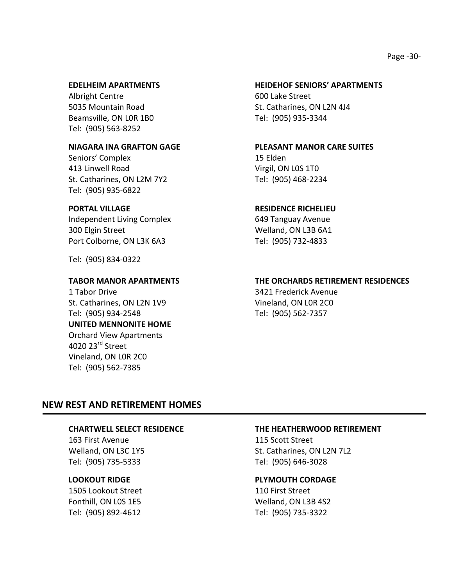Albright Centre 600 Lake Street Beamsville, ON LOR 1B0 Tel: (905) 935-3344 Tel: (905) 563-8252

Seniors' Complex 15 Elden 413 Linwell Road Virgil, ON LOS 1TO St. Catharines, ON L2M 7Y2 Tel: (905) 468-2234 Tel: (905) 935-6822

Independent Living Complex 649 Tanguay Avenue 300 Elgin Street Welland, ON L3B 6A1 Port Colborne, ON L3K 6A3 Tel: (905) 732-4833

Tel: (905) 834-0322

1 Tabor Drive 3421 Frederick Avenue St. Catharines, ON L2N 1V9 Vineland, ON L0R 2C0 Tel: (905) 934-2548 Tel: (905) 562-7357 **UNITED MENNONITE HOME** Orchard View Apartments 4020 23<sup>rd</sup> Street Vineland, ON L0R 2C0 Tel: (905) 562-7385

#### **EDELHEIM APARTMENTS HEIDEHOF SENIORS' APARTMENTS**

5035 Mountain Road St. Catharines, ON L2N 4J4

### **NIAGARA INA GRAFTON GAGE PLEASANT MANOR CARE SUITES**

### **PORTAL VILLAGE RESIDENCE RICHELIEU**

#### **TABOR MANOR APARTMENTS THE ORCHARDS RETIREMENT RESIDENCES**

### **NEW REST AND RETIREMENT HOMES**

163 First Avenue 115 Scott Street Tel: (905) 735-5333 Tel: (905) 646-3028

1505 Lookout Street 110 First Street Tel: (905) 892-4612 Tel: (905) 735-3322

#### **CHARTWELL SELECT RESIDENCE THE HEATHERWOOD RETIREMENT**

Welland, ON L3C 1Y5 St. Catharines, ON L2N 7L2

#### **LOOKOUT RIDGE PLYMOUTH CORDAGE**

Fonthill, ON L0S 1E5 Welland, ON L3B 4S2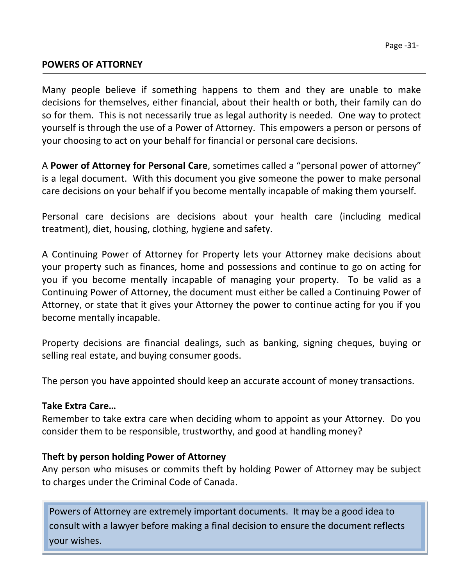# **POWERS OF ATTORNEY**

Many people believe if something happens to them and they are unable to make decisions for themselves, either financial, about their health or both, their family can do so for them. This is not necessarily true as legal authority is needed. One way to protect yourself is through the use of a Power of Attorney. This empowers a person or persons of your choosing to act on your behalf for financial or personal care decisions.

A **Power of Attorney for Personal Care**, sometimes called a "personal power of attorney" is a legal document. With this document you give someone the power to make personal care decisions on your behalf if you become mentally incapable of making them yourself.

Personal care decisions are decisions about your health care (including medical treatment), diet, housing, clothing, hygiene and safety.

A Continuing Power of Attorney for Property lets your Attorney make decisions about your property such as finances, home and possessions and continue to go on acting for you if you become mentally incapable of managing your property. To be valid as a Continuing Power of Attorney, the document must either be called a Continuing Power of Attorney, or state that it gives your Attorney the power to continue acting for you if you become mentally incapable.

Property decisions are financial dealings, such as banking, signing cheques, buying or selling real estate, and buying consumer goods.

The person you have appointed should keep an accurate account of money transactions.

# **Take Extra Care…**

Remember to take extra care when deciding whom to appoint as your Attorney. Do you consider them to be responsible, trustworthy, and good at handling money?

# **Theft by person holding Power of Attorney**

Any person who misuses or commits theft by holding Power of Attorney may be subject to charges under the Criminal Code of Canada.

Powers of Attorney are extremely important documents. It may be a good idea to consult with a lawyer before making a final decision to ensure the document reflects your wishes.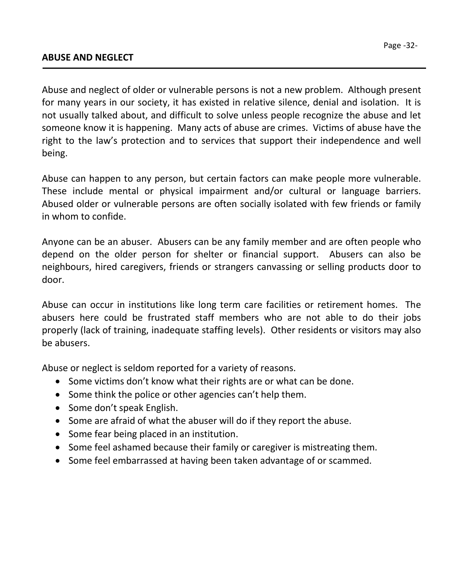Abuse and neglect of older or vulnerable persons is not a new problem. Although present for many years in our society, it has existed in relative silence, denial and isolation. It is not usually talked about, and difficult to solve unless people recognize the abuse and let someone know it is happening. Many acts of abuse are crimes. Victims of abuse have the right to the law's protection and to services that support their independence and well being.

Abuse can happen to any person, but certain factors can make people more vulnerable. These include mental or physical impairment and/or cultural or language barriers. Abused older or vulnerable persons are often socially isolated with few friends or family in whom to confide.

Anyone can be an abuser. Abusers can be any family member and are often people who depend on the older person for shelter or financial support. Abusers can also be neighbours, hired caregivers, friends or strangers canvassing or selling products door to door.

Abuse can occur in institutions like long term care facilities or retirement homes. The abusers here could be frustrated staff members who are not able to do their jobs properly (lack of training, inadequate staffing levels). Other residents or visitors may also be abusers.

Abuse or neglect is seldom reported for a variety of reasons.

- Some victims don't know what their rights are or what can be done.
- Some think the police or other agencies can't help them.
- Some don't speak English.
- Some are afraid of what the abuser will do if they report the abuse.
- Some fear being placed in an institution.
- Some feel ashamed because their family or caregiver is mistreating them.
- Some feel embarrassed at having been taken advantage of or scammed.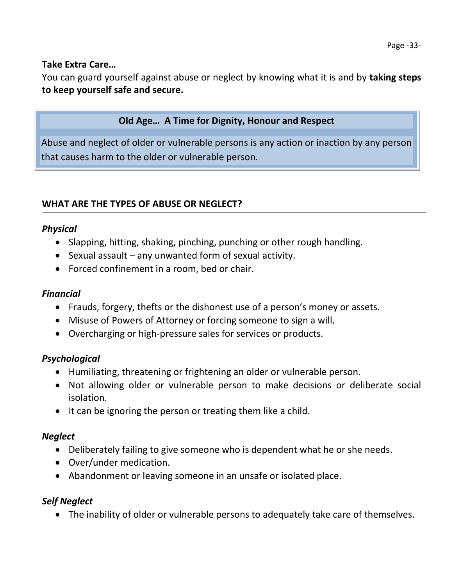# **Take Extra Care…**

You can guard yourself against abuse or neglect by knowing what it is and by **taking steps to keep yourself safe and secure.**

# **Old Age… A Time for Dignity, Honour and Respect**

Abuse and neglect of older or vulnerable persons is any action or inaction by any person that causes harm to the older or vulnerable person.

# **WHAT ARE THE TYPES OF ABUSE OR NEGLECT?**

# *Physical*

- Slapping, hitting, shaking, pinching, punching or other rough handling.
- $\bullet$  Sexual assault any unwanted form of sexual activity.
- Forced confinement in a room, bed or chair.

# *Financial*

- Frauds, forgery, thefts or the dishonest use of a person's money or assets.
- Misuse of Powers of Attorney or forcing someone to sign a will.
- Overcharging or high-pressure sales for services or products.

# *Psychological*

- Humiliating, threatening or frightening an older or vulnerable person.
- Not allowing older or vulnerable person to make decisions or deliberate social isolation.
- It can be ignoring the person or treating them like a child.

# *Neglect*

- Deliberately failing to give someone who is dependent what he or she needs.
- Over/under medication.
- Abandonment or leaving someone in an unsafe or isolated place.

# *Self Neglect*

The inability of older or vulnerable persons to adequately take care of themselves.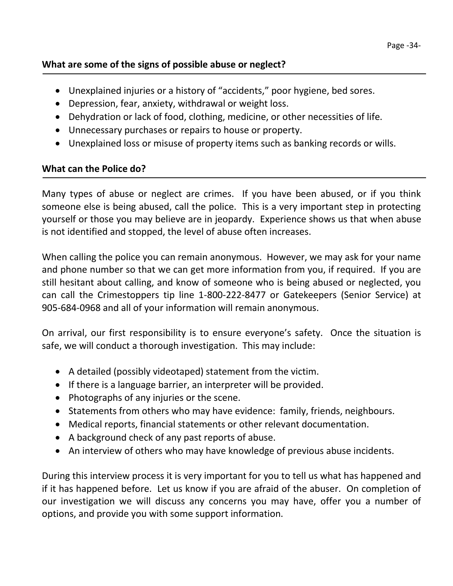# **What are some of the signs of possible abuse or neglect?**

- Unexplained injuries or a history of "accidents," poor hygiene, bed sores.
- Depression, fear, anxiety, withdrawal or weight loss.
- Dehydration or lack of food, clothing, medicine, or other necessities of life.
- Unnecessary purchases or repairs to house or property.
- Unexplained loss or misuse of property items such as banking records or wills.

# **What can the Police do?**

Many types of abuse or neglect are crimes. If you have been abused, or if you think someone else is being abused, call the police. This is a very important step in protecting yourself or those you may believe are in jeopardy. Experience shows us that when abuse is not identified and stopped, the level of abuse often increases.

When calling the police you can remain anonymous. However, we may ask for your name and phone number so that we can get more information from you, if required. If you are still hesitant about calling, and know of someone who is being abused or neglected, you can call the Crimestoppers tip line 1-800-222-8477 or Gatekeepers (Senior Service) at 905-684-0968 and all of your information will remain anonymous.

On arrival, our first responsibility is to ensure everyone's safety. Once the situation is safe, we will conduct a thorough investigation. This may include:

- A detailed (possibly videotaped) statement from the victim.
- If there is a language barrier, an interpreter will be provided.
- Photographs of any injuries or the scene.
- Statements from others who may have evidence: family, friends, neighbours.
- Medical reports, financial statements or other relevant documentation.
- A background check of any past reports of abuse.
- An interview of others who may have knowledge of previous abuse incidents.

During this interview process it is very important for you to tell us what has happened and if it has happened before. Let us know if you are afraid of the abuser. On completion of our investigation we will discuss any concerns you may have, offer you a number of options, and provide you with some support information.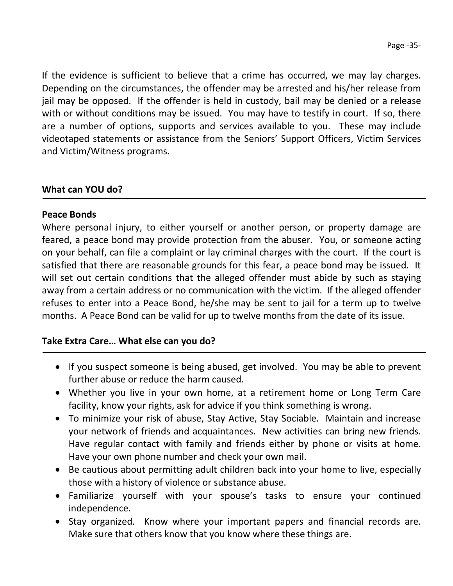If the evidence is sufficient to believe that a crime has occurred, we may lay charges. Depending on the circumstances, the offender may be arrested and his/her release from jail may be opposed. If the offender is held in custody, bail may be denied or a release with or without conditions may be issued. You may have to testify in court. If so, there are a number of options, supports and services available to you. These may include videotaped statements or assistance from the Seniors' Support Officers, Victim Services and Victim/Witness programs.

# **What can YOU do?**

# **Peace Bonds**

Where personal injury, to either yourself or another person, or property damage are feared, a peace bond may provide protection from the abuser. You, or someone acting on your behalf, can file a complaint or lay criminal charges with the court. If the court is satisfied that there are reasonable grounds for this fear, a peace bond may be issued. It will set out certain conditions that the alleged offender must abide by such as staying away from a certain address or no communication with the victim. If the alleged offender refuses to enter into a Peace Bond, he/she may be sent to jail for a term up to twelve months. A Peace Bond can be valid for up to twelve months from the date of its issue.

# **Take Extra Care… What else can you do?**

- If you suspect someone is being abused, get involved. You may be able to prevent further abuse or reduce the harm caused.
- Whether you live in your own home, at a retirement home or Long Term Care facility, know your rights, ask for advice if you think something is wrong.
- To minimize your risk of abuse, Stay Active, Stay Sociable. Maintain and increase your network of friends and acquaintances. New activities can bring new friends. Have regular contact with family and friends either by phone or visits at home. Have your own phone number and check your own mail.
- Be cautious about permitting adult children back into your home to live, especially those with a history of violence or substance abuse.
- Familiarize yourself with your spouse's tasks to ensure your continued independence.
- Stay organized. Know where your important papers and financial records are. Make sure that others know that you know where these things are.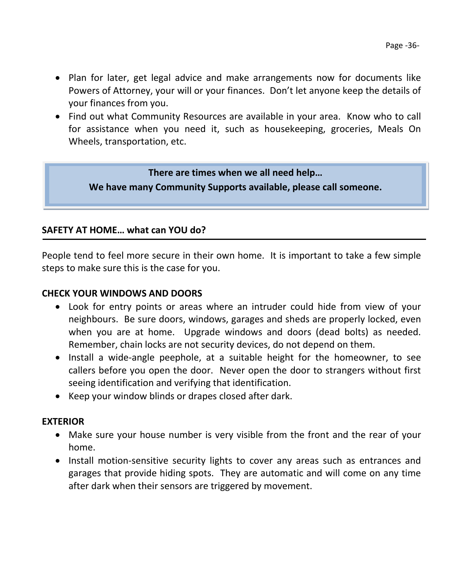- Plan for later, get legal advice and make arrangements now for documents like Powers of Attorney, your will or your finances. Don't let anyone keep the details of your finances from you.
- Find out what Community Resources are available in your area. Know who to call for assistance when you need it, such as housekeeping, groceries, Meals On Wheels, transportation, etc.

# **There are times when we all need help…**

**We have many Community Supports available, please call someone.**

# **SAFETY AT HOME… what can YOU do?**

People tend to feel more secure in their own home. It is important to take a few simple steps to make sure this is the case for you.

# **CHECK YOUR WINDOWS AND DOORS**

- Look for entry points or areas where an intruder could hide from view of your neighbours. Be sure doors, windows, garages and sheds are properly locked, even when you are at home. Upgrade windows and doors (dead bolts) as needed. Remember, chain locks are not security devices, do not depend on them.
- Install a wide-angle peephole, at a suitable height for the homeowner, to see callers before you open the door. Never open the door to strangers without first seeing identification and verifying that identification.
- Keep your window blinds or drapes closed after dark.

# **EXTERIOR**

- Make sure your house number is very visible from the front and the rear of your home.
- Install motion-sensitive security lights to cover any areas such as entrances and garages that provide hiding spots. They are automatic and will come on any time after dark when their sensors are triggered by movement.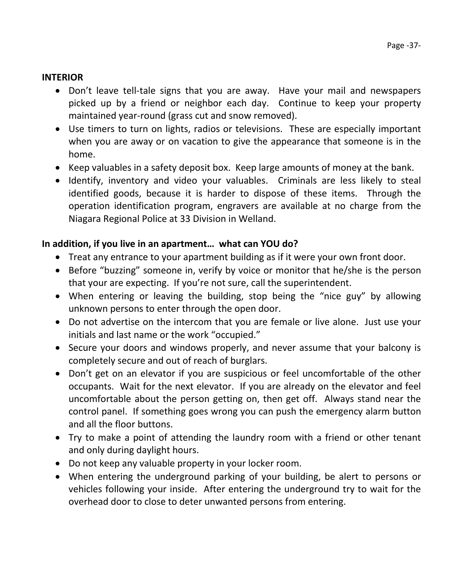# **INTERIOR**

- Don't leave tell-tale signs that you are away. Have your mail and newspapers picked up by a friend or neighbor each day. Continue to keep your property maintained year-round (grass cut and snow removed).
- Use timers to turn on lights, radios or televisions. These are especially important when you are away or on vacation to give the appearance that someone is in the home.
- Keep valuables in a safety deposit box. Keep large amounts of money at the bank.
- Identify, inventory and video your valuables. Criminals are less likely to steal identified goods, because it is harder to dispose of these items. Through the operation identification program, engravers are available at no charge from the Niagara Regional Police at 33 Division in Welland.

# **In addition, if you live in an apartment… what can YOU do?**

- Treat any entrance to your apartment building as if it were your own front door.
- Before "buzzing" someone in, verify by voice or monitor that he/she is the person that your are expecting. If you're not sure, call the superintendent.
- When entering or leaving the building, stop being the "nice guy" by allowing unknown persons to enter through the open door.
- Do not advertise on the intercom that you are female or live alone. Just use your initials and last name or the work "occupied."
- Secure your doors and windows properly, and never assume that your balcony is completely secure and out of reach of burglars.
- Don't get on an elevator if you are suspicious or feel uncomfortable of the other occupants. Wait for the next elevator. If you are already on the elevator and feel uncomfortable about the person getting on, then get off. Always stand near the control panel. If something goes wrong you can push the emergency alarm button and all the floor buttons.
- Try to make a point of attending the laundry room with a friend or other tenant and only during daylight hours.
- Do not keep any valuable property in your locker room.
- When entering the underground parking of your building, be alert to persons or vehicles following your inside. After entering the underground try to wait for the overhead door to close to deter unwanted persons from entering.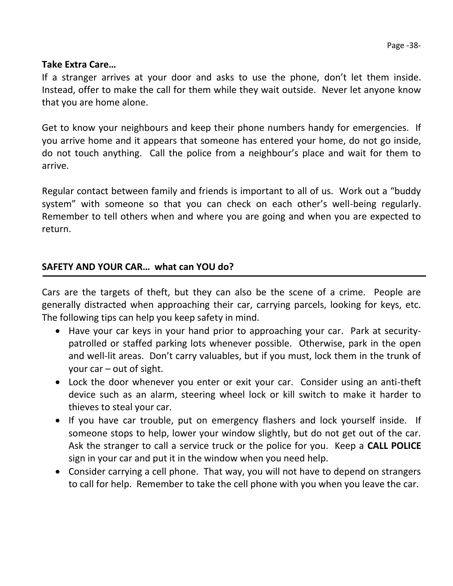# **Take Extra Care…**

If a stranger arrives at your door and asks to use the phone, don't let them inside. Instead, offer to make the call for them while they wait outside. Never let anyone know that you are home alone.

Get to know your neighbours and keep their phone numbers handy for emergencies. If you arrive home and it appears that someone has entered your home, do not go inside, do not touch anything. Call the police from a neighbour's place and wait for them to arrive.

Regular contact between family and friends is important to all of us. Work out a "buddy system" with someone so that you can check on each other's well-being regularly. Remember to tell others when and where you are going and when you are expected to return.

# **SAFETY AND YOUR CAR… what can YOU do?**

Cars are the targets of theft, but they can also be the scene of a crime. People are generally distracted when approaching their car, carrying parcels, looking for keys, etc. The following tips can help you keep safety in mind.

- Have your car keys in your hand prior to approaching your car. Park at securitypatrolled or staffed parking lots whenever possible. Otherwise, park in the open and well-lit areas. Don't carry valuables, but if you must, lock them in the trunk of your car – out of sight.
- Lock the door whenever you enter or exit your car. Consider using an anti-theft device such as an alarm, steering wheel lock or kill switch to make it harder to thieves to steal your car.
- If you have car trouble, put on emergency flashers and lock yourself inside. If someone stops to help, lower your window slightly, but do not get out of the car. Ask the stranger to call a service truck or the police for you. Keep a **CALL POLICE** sign in your car and put it in the window when you need help.
- Consider carrying a cell phone. That way, you will not have to depend on strangers to call for help. Remember to take the cell phone with you when you leave the car.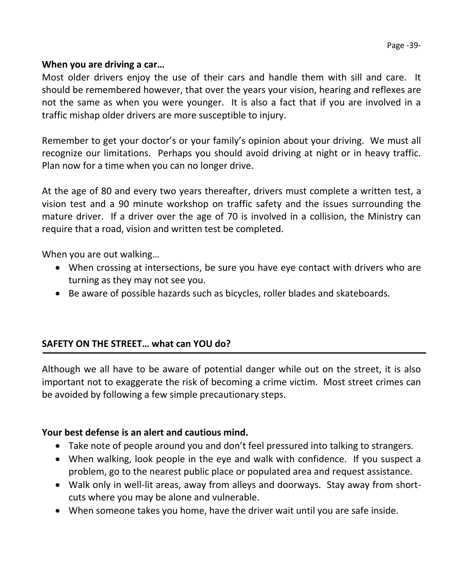# **When you are driving a car…**

Most older drivers enjoy the use of their cars and handle them with sill and care. It should be remembered however, that over the years your vision, hearing and reflexes are not the same as when you were younger. It is also a fact that if you are involved in a traffic mishap older drivers are more susceptible to injury.

Remember to get your doctor's or your family's opinion about your driving. We must all recognize our limitations. Perhaps you should avoid driving at night or in heavy traffic. Plan now for a time when you can no longer drive.

At the age of 80 and every two years thereafter, drivers must complete a written test, a vision test and a 90 minute workshop on traffic safety and the issues surrounding the mature driver. If a driver over the age of 70 is involved in a collision, the Ministry can require that a road, vision and written test be completed.

When you are out walking…

- When crossing at intersections, be sure you have eye contact with drivers who are turning as they may not see you.
- Be aware of possible hazards such as bicycles, roller blades and skateboards.

# **SAFETY ON THE STREET… what can YOU do?**

Although we all have to be aware of potential danger while out on the street, it is also important not to exaggerate the risk of becoming a crime victim. Most street crimes can be avoided by following a few simple precautionary steps.

# **Your best defense is an alert and cautious mind.**

- Take note of people around you and don't feel pressured into talking to strangers.
- When walking, look people in the eye and walk with confidence. If you suspect a problem, go to the nearest public place or populated area and request assistance.
- Walk only in well-lit areas, away from alleys and doorways. Stay away from shortcuts where you may be alone and vulnerable.
- When someone takes you home, have the driver wait until you are safe inside.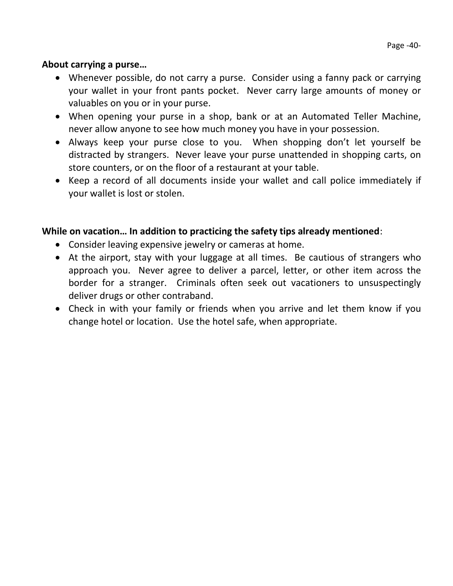# **About carrying a purse…**

- Whenever possible, do not carry a purse. Consider using a fanny pack or carrying your wallet in your front pants pocket. Never carry large amounts of money or valuables on you or in your purse.
- When opening your purse in a shop, bank or at an Automated Teller Machine, never allow anyone to see how much money you have in your possession.
- Always keep your purse close to you. When shopping don't let yourself be distracted by strangers. Never leave your purse unattended in shopping carts, on store counters, or on the floor of a restaurant at your table.
- Keep a record of all documents inside your wallet and call police immediately if your wallet is lost or stolen.

# **While on vacation… In addition to practicing the safety tips already mentioned**:

- Consider leaving expensive jewelry or cameras at home.
- At the airport, stay with your luggage at all times. Be cautious of strangers who approach you. Never agree to deliver a parcel, letter, or other item across the border for a stranger. Criminals often seek out vacationers to unsuspectingly deliver drugs or other contraband.
- Check in with your family or friends when you arrive and let them know if you change hotel or location. Use the hotel safe, when appropriate.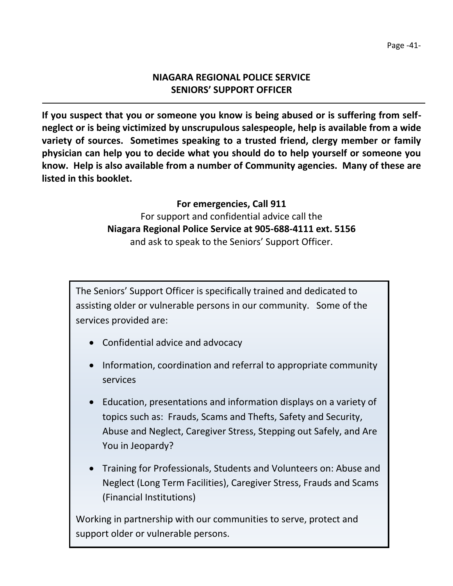# **NIAGARA REGIONAL POLICE SERVICE SENIORS' SUPPORT OFFICER**

**If you suspect that you or someone you know is being abused or is suffering from selfneglect or is being victimized by unscrupulous salespeople, help is available from a wide variety of sources. Sometimes speaking to a trusted friend, clergy member or family physician can help you to decide what you should do to help yourself or someone you know. Help is also available from a number of Community agencies. Many of these are listed in this booklet.**

# **For emergencies, Call 911** For support and confidential advice call the **Niagara Regional Police Service at 905-688-4111 ext. 5156** and ask to speak to the Seniors' Support Officer.

The Seniors' Support Officer is specifically trained and dedicated to assisting older or vulnerable persons in our community. Some of the services provided are:

- Confidential advice and advocacy
- Information, coordination and referral to appropriate community services
- Education, presentations and information displays on a variety of topics such as: Frauds, Scams and Thefts, Safety and Security, Abuse and Neglect, Caregiver Stress, Stepping out Safely, and Are You in Jeopardy?
- Training for Professionals, Students and Volunteers on: Abuse and Neglect (Long Term Facilities), Caregiver Stress, Frauds and Scams (Financial Institutions)

Working in partnership with our communities to serve, protect and support older or vulnerable persons.